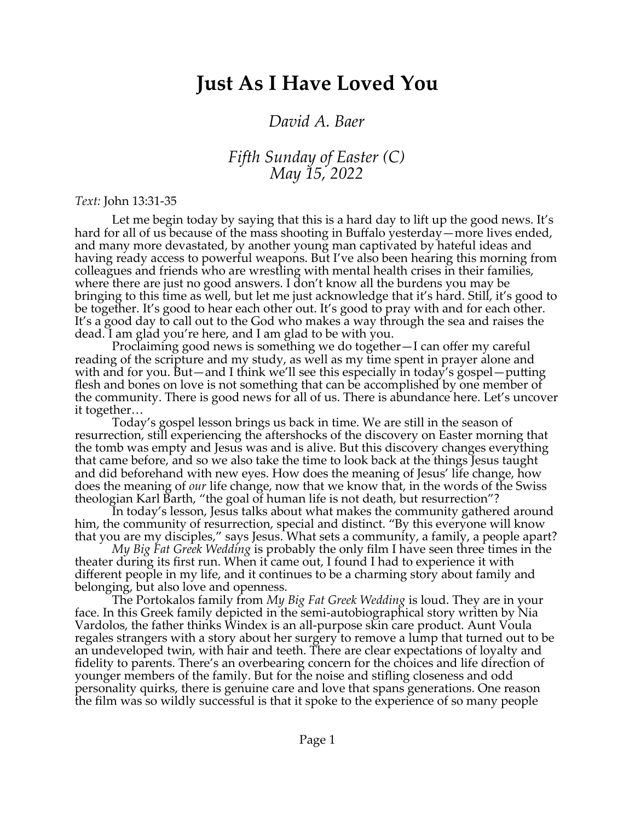## **Just As I Have Loved You**

## *David A. Baer*

## *Fifth Sunday of Easter (C) May 15, 2022*

## *Text:* John 13:31-35

Let me begin today by saying that this is a hard day to lift up the good news. It's hard for all of us because of the mass shooting in Buffalo yesterday—more lives ended, and many more devastated, by another young man captivated by hateful ideas and having ready access to powerful weapons. But I've also been hearing this morning from colleagues and friends who are wrestling with mental health crises in their families, where there are just no good answers. I don't know all the burdens you may be bringing to this time as well, but let me just acknowledge that it's hard. Still, it's good to be together. It's good to hear each other out. It's good to pray with and for each other. It's a good day to call out to the God who makes a way through the sea and raises the dead. I am glad you're here, and I am glad to be with you.

Proclaiming good news is something we do together—I can offer my careful reading of the scripture and my study, as well as my time spent in prayer alone and with and for you. But—and I think we'll see this especially in today's gospel—putting flesh and bones on love is not something that can be accomplished by one member of the community. There is good news for all of us. There is abundance here. Let's uncover it together…

Today's gospel lesson brings us back in time. We are still in the season of resurrection, still experiencing the aftershocks of the discovery on Easter morning that the tomb was empty and Jesus was and is alive. But this discovery changes everything that came before, and so we also take the time to look back at the things Jesus taught and did beforehand with new eyes. How does the meaning of Jesus' life change, how does the meaning of *our* life change, now that we know that, in the words of the Swiss theologian Karl Barth, "the goal of human life is not death, but resurrection"?

In today's lesson, Jesus talks about what makes the community gathered around him, the community of resurrection, special and distinct. "By this everyone will know that you are my disciples," says Jesus. What sets a community, a family, a people apart?

*My Big Fat Greek Wedding* is probably the only film I have seen three times in the theater during its first run. When it came out, I found I had to experience it with different people in my life, and it continues to be a charming story about family and belonging, but also love and openness.

The Portokalos family from *My Big Fat Greek Wedding* is loud. They are in your face. In this Greek family depicted in the semi-autobiographical story written by Nia Vardolos, the father thinks Windex is an all-purpose skin care product. Aunt Voula regales strangers with a story about her surgery to remove a lump that turned out to be an undeveloped twin, with hair and teeth. There are clear expectations of loyalty and fidelity to parents. There's an overbearing concern for the choices and life direction of younger members of the family. But for the noise and stifling closeness and odd personality quirks, there is genuine care and love that spans generations. One reason the film was so wildly successful is that it spoke to the experience of so many people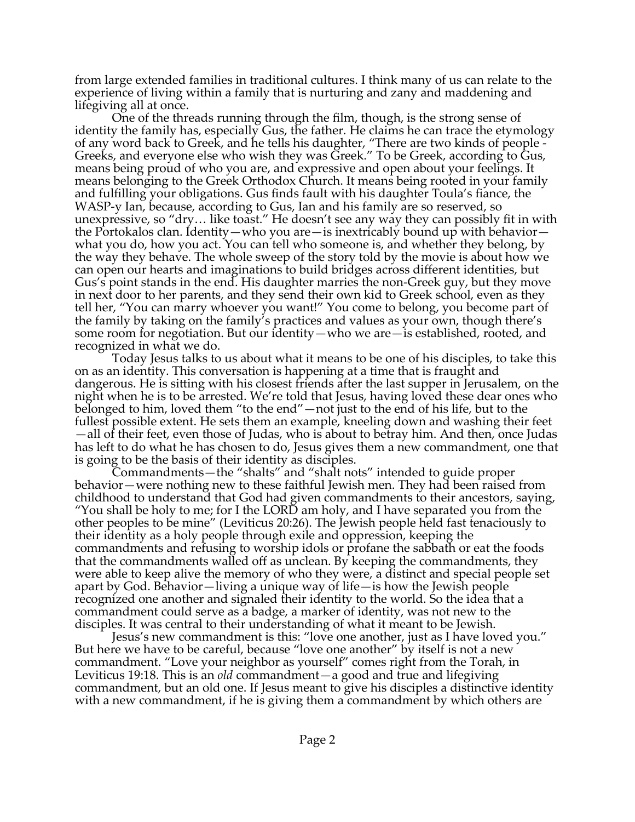from large extended families in traditional cultures. I think many of us can relate to the experience of living within a family that is nurturing and zany and maddening and lifegiving all at once.

One of the threads running through the film, though, is the strong sense of identity the family has, especially Gus, the father. He claims he can trace the etymology of any word back to Greek, and he tells his daughter, "There are two kinds of people - Greeks, and everyone else who wish they was Greek." To be Greek, according to Gus, means being proud of who you are, and expressive and open about your feelings. It means belonging to the Greek Orthodox Church. It means being rooted in your family and fulfilling your obligations. Gus finds fault with his daughter Toula's fiance, the WASP-y Ian, because, according to Gus, Ian and his family are so reserved, so unexpressive, so "dry… like toast." He doesn't see any way they can possibly fit in with the Portokalos clan. Identity—who you are—is inextricably bound up with behavior what you do, how you act. You can tell who someone is, and whether they belong, by the way they behave. The whole sweep of the story told by the movie is about how we can open our hearts and imaginations to build bridges across different identities, but Gus's point stands in the end. His daughter marries the non-Greek guy, but they move in next door to her parents, and they send their own kid to Greek school, even as they tell her, "You can marry whoever you want!" You come to belong, you become part of the family by taking on the family's practices and values as your own, though there's some room for negotiation. But our identity—who we are—is established, rooted, and recognized in what we do.

Today Jesus talks to us about what it means to be one of his disciples, to take this on as an identity. This conversation is happening at a time that is fraught and dangerous. He is sitting with his closest friends after the last supper in Jerusalem, on the night when he is to be arrested. We're told that Jesus, having loved these dear ones who belonged to him, loved them "to the end"—not just to the end of his life, but to the fullest possible extent. He sets them an example, kneeling down and washing their feet —all of their feet, even those of Judas, who is about to betray him. And then, once Judas has left to do what he has chosen to do, Jesus gives them a new commandment, one that is going to be the basis of their identity as disciples.

Commandments—the "shalts" and "shalt nots" intended to guide proper behavior—were nothing new to these faithful Jewish men. They had been raised from childhood to understand that God had given commandments to their ancestors, saying, "You shall be holy to me; for I the LORD am holy, and I have separated you from the other peoples to be mine" (Leviticus 20:26). The Jewish people held fast tenaciously to their identity as a holy people through exile and oppression, keeping the commandments and refusing to worship idols or profane the sabbath or eat the foods that the commandments walled off as unclean. By keeping the commandments, they were able to keep alive the memory of who they were, a distinct and special people set apart by God. Behavior—living a unique way of life—is how the Jewish people recognized one another and signaled their identity to the world. So the idea that a commandment could serve as a badge, a marker of identity, was not new to the disciples. It was central to their understanding of what it meant to be Jewish.

Jesus's new commandment is this: "love one another, just as I have loved you." But here we have to be careful, because "love one another" by itself is not a new commandment. "Love your neighbor as yourself" comes right from the Torah, in Leviticus 19:18. This is an *old* commandment—a good and true and lifegiving commandment, but an old one. If Jesus meant to give his disciples a distinctive identity with a new commandment, if he is giving them a commandment by which others are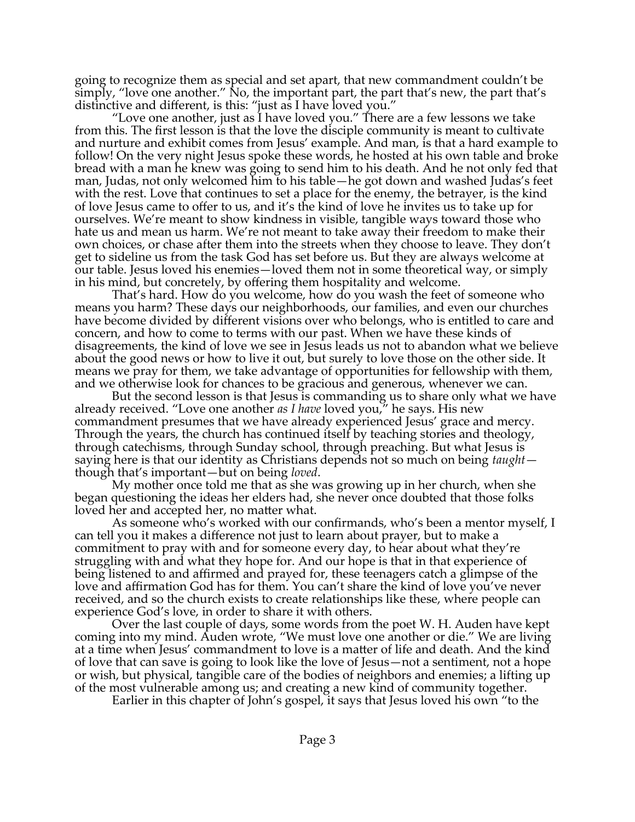going to recognize them as special and set apart, that new commandment couldn't be simply, "love one another." No, the important part, the part that's new, the part that's distinctive and different, is this: "just as I have loved you."

"Love one another, just as I have loved you." There are a few lessons we take from this. The first lesson is that the love the disciple community is meant to cultivate and nurture and exhibit comes from Jesus' example. And man, is that a hard example to follow! On the very night Jesus spoke these words, he hosted at his own table and broke bread with a man he knew was going to send him to his death. And he not only fed that man, Judas, not only welcomed him to his table—he got down and washed Judas's feet with the rest. Love that continues to set a place for the enemy, the betrayer, is the kind of love Jesus came to offer to us, and it's the kind of love he invites us to take up for ourselves. We're meant to show kindness in visible, tangible ways toward those who hate us and mean us harm. We're not meant to take away their freedom to make their own choices, or chase after them into the streets when they choose to leave. They don't get to sideline us from the task God has set before us. But they are always welcome at our table. Jesus loved his enemies—loved them not in some theoretical way, or simply in his mind, but concretely, by offering them hospitality and welcome.

That's hard. How do you welcome, how do you wash the feet of someone who means you harm? These days our neighborhoods, our families, and even our churches have become divided by different visions over who belongs, who is entitled to care and concern, and how to come to terms with our past. When we have these kinds of disagreements, the kind of love we see in Jesus leads us not to abandon what we believe about the good news or how to live it out, but surely to love those on the other side. It means we pray for them, we take advantage of opportunities for fellowship with them, and we otherwise look for chances to be gracious and generous, whenever we can.

But the second lesson is that Jesus is commanding us to share only what we have already received. "Love one another *as I have* loved you," he says. His new commandment presumes that we have already experienced Jesus' grace and mercy. Through the years, the church has continued itself by teaching stories and theology, through catechisms, through Sunday school, through preaching. But what Jesus is saying here is that our identity as Christians depends not so much on being *taught* though that's important—but on being *loved*.

My mother once told me that as she was growing up in her church, when she began questioning the ideas her elders had, she never once doubted that those folks loved her and accepted her, no matter what.

As someone who's worked with our confirmands, who's been a mentor myself, I can tell you it makes a difference not just to learn about prayer, but to make a commitment to pray with and for someone every day, to hear about what they're struggling with and what they hope for. And our hope is that in that experience of being listened to and affirmed and prayed for, these teenagers catch a glimpse of the love and affirmation God has for them. You can't share the kind of love you've never received, and so the church exists to create relationships like these, where people can experience God's love, in order to share it with others.

Over the last couple of days, some words from the poet W. H. Auden have kept coming into my mind. Auden wrote, "We must love one another or die." We are living at a time when Jesus' commandment to love is a matter of life and death. And the kind of love that can save is going to look like the love of Jesus—not a sentiment, not a hope or wish, but physical, tangible care of the bodies of neighbors and enemies; a lifting up of the most vulnerable among us; and creating a new kind of community together.

Earlier in this chapter of John's gospel, it says that Jesus loved his own "to the